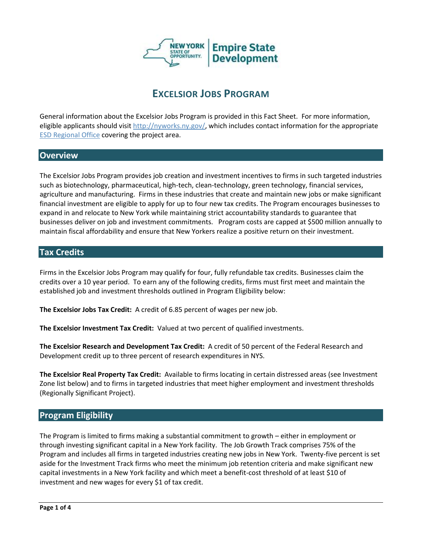

# **EXCELSIOR JOBS PROGRAM**

General information about the Excelsior Jobs Program is provided in this Fact Sheet. For more information, eligible applicants should visit [http://nyworks.ny.gov/,](http://nyworks.ny.gov/) which includes contact information for the appropriate [ESD Regional Office](http://esd.ny.gov/RegionalOverviews.html) covering the project area.

# **Overview**

The Excelsior Jobs Program provides job creation and investment incentives to firms in such targeted industries such as biotechnology, pharmaceutical, high-tech, clean-technology, green technology, financial services, agriculture and manufacturing. Firms in these industries that create and maintain new jobs or make significant financial investment are eligible to apply for up to four new tax credits. The Program encourages businesses to expand in and relocate to New York while maintaining strict accountability standards to guarantee that businesses deliver on job and investment commitments. Program costs are capped at \$500 million annually to maintain fiscal affordability and ensure that New Yorkers realize a positive return on their investment.

## **Tax Credits**

Firms in the Excelsior Jobs Program may qualify for four, fully refundable tax credits. Businesses claim the credits over a 10 year period. To earn any of the following credits, firms must first meet and maintain the established job and investment thresholds outlined in Program Eligibility below:

**The Excelsior Jobs Tax Credit:** A credit of 6.85 percent of wages per new job.

**The Excelsior Investment Tax Credit:** Valued at two percent of qualified investments.

**The Excelsior Research and Development Tax Credit:** A credit of 50 percent of the Federal Research and Development credit up to three percent of research expenditures in NYS.

**The Excelsior Real Property Tax Credit:** Available to firms locating in certain distressed areas (see Investment Zone list below) and to firms in targeted industries that meet higher employment and investment thresholds (Regionally Significant Project).

# **Program Eligibility**

The Program is limited to firms making a substantial commitment to growth – either in employment or through investing significant capital in a New York facility. The Job Growth Track comprises 75% of the Program and includes all firms in targeted industries creating new jobs in New York. Twenty-five percent is set aside for the Investment Track firms who meet the minimum job retention criteria and make significant new capital investments in a New York facility and which meet a benefit-cost threshold of at least \$10 of investment and new wages for every \$1 of tax credit.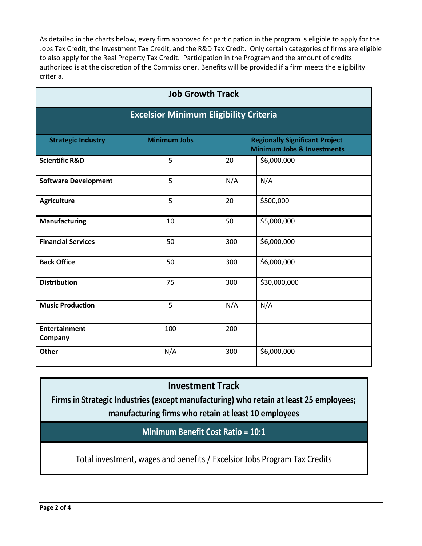As detailed in the charts below, every firm approved for participation in the program is eligible to apply for the Jobs Tax Credit, the Investment Tax Credit, and the R&D Tax Credit. Only certain categories of firms are eligible to also apply for the Real Property Tax Credit. Participation in the Program and the amount of credits authorized is at the discretion of the Commissioner. Benefits will be provided if a firm meets the eligibility criteria.

| <b>Job Growth Track</b>                       |                     |                                                                                |                          |
|-----------------------------------------------|---------------------|--------------------------------------------------------------------------------|--------------------------|
| <b>Excelsior Minimum Eligibility Criteria</b> |                     |                                                                                |                          |
| <b>Strategic Industry</b>                     | <b>Minimum Jobs</b> | <b>Regionally Significant Project</b><br><b>Minimum Jobs &amp; Investments</b> |                          |
| <b>Scientific R&amp;D</b>                     | 5                   | 20                                                                             | \$6,000,000              |
| <b>Software Development</b>                   | 5                   | N/A                                                                            | N/A                      |
| <b>Agriculture</b>                            | 5                   | 20                                                                             | \$500,000                |
| Manufacturing                                 | 10                  | 50                                                                             | \$5,000,000              |
| <b>Financial Services</b>                     | 50                  | 300                                                                            | \$6,000,000              |
| <b>Back Office</b>                            | 50                  | 300                                                                            | \$6,000,000              |
| <b>Distribution</b>                           | 75                  | 300                                                                            | \$30,000,000             |
| <b>Music Production</b>                       | 5                   | N/A                                                                            | N/A                      |
| <b>Entertainment</b><br>Company               | 100                 | 200                                                                            | $\overline{\phantom{a}}$ |
| Other                                         | N/A                 | 300                                                                            | \$6,000,000              |

# **Investment Track**

**Firms in Strategic Industries (except manufacturing) who retain at least 25 employees; manufacturing firms who retain at least 10 employees**

**Minimum Benefit Cost Ratio = 10:1**

Total investment, wages and benefits / Excelsior Jobs Program Tax Credits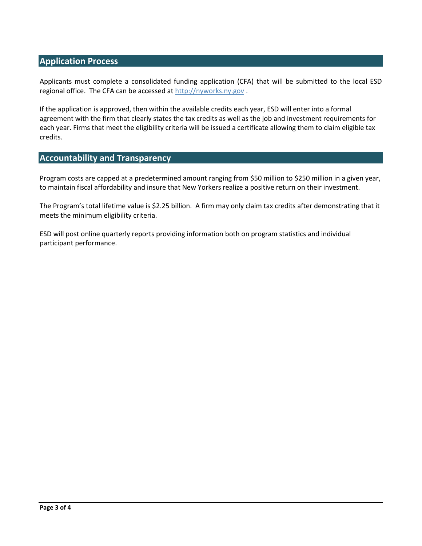# **Application Process**

Applicants must complete a consolidated funding application (CFA) that will be submitted to the local ESD regional office. The CFA can be accessed at [http://nyworks.ny.gov](http://nyworks.ny.gov/) .

If the application is approved, then within the available credits each year, ESD will enter into a formal agreement with the firm that clearly states the tax credits as well as the job and investment requirements for each year. Firms that meet the eligibility criteria will be issued a certificate allowing them to claim eligible tax credits.

# **Accountability and Transparency**

Program costs are capped at a predetermined amount ranging from \$50 million to \$250 million in a given year, to maintain fiscal affordability and insure that New Yorkers realize a positive return on their investment.

The Program's total lifetime value is \$2.25 billion. A firm may only claim tax credits after demonstrating that it meets the minimum eligibility criteria.

ESD will post online quarterly reports providing information both on program statistics and individual participant performance.